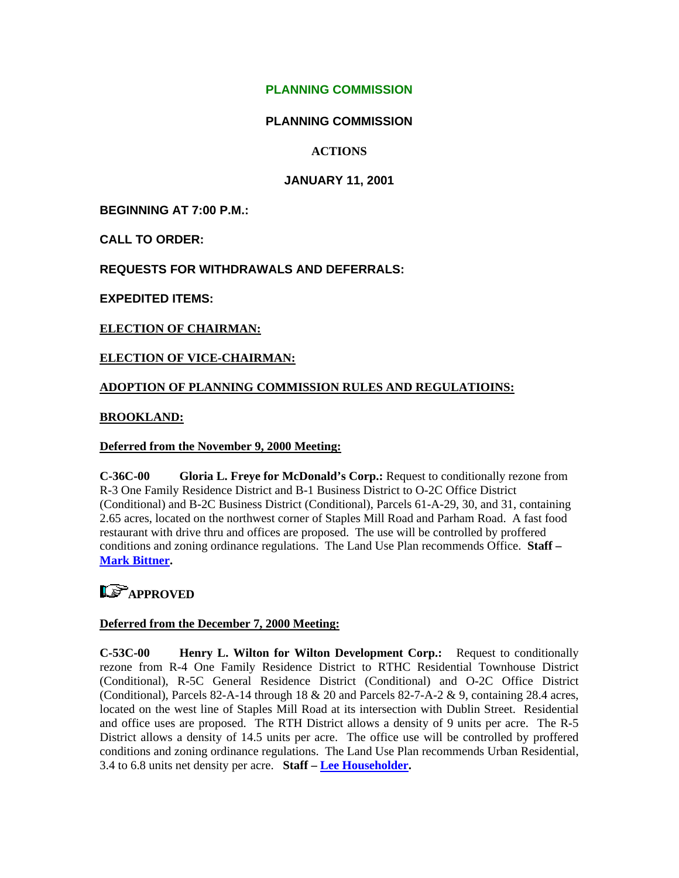### **PLANNING COMMISSION**

### **PLANNING COMMISSION**

### **ACTIONS**

### **JANUARY 11, 2001**

**BEGINNING AT 7:00 P.M.:** 

**CALL TO ORDER:** 

**REQUESTS FOR WITHDRAWALS AND DEFERRALS:** 

**EXPEDITED ITEMS:** 

### **ELECTION OF CHAIRMAN:**

### **ELECTION OF VICE-CHAIRMAN:**

### **ADOPTION OF PLANNING COMMISSION RULES AND REGULATIOINS:**

#### **BROOKLAND:**

#### **Deferred from the November 9, 2000 Meeting:**

**C-36C-00 Gloria L. Freye for McDonald's Corp.:** Request to conditionally rezone from R-3 One Family Residence District and B-1 Business District to O-2C Office District (Conditional) and B-2C Business District (Conditional), Parcels 61-A-29, 30, and 31, containing 2.65 acres, located on the northwest corner of Staples Mill Road and Parham Road. A fast food restaurant with drive thru and offices are proposed. The use will be controlled by proffered conditions and zoning ordinance regulations. The Land Use Plan recommends Office. **Staff – [Mark Bittner](mailto:bit10@co.henrico.va.us).** 

## **LS** APPROVED

#### **Deferred from the December 7, 2000 Meeting:**

**C-53C-00 Henry L. Wilton for Wilton Development Corp.:** Request to conditionally rezone from R-4 One Family Residence District to RTHC Residential Townhouse District (Conditional), R-5C General Residence District (Conditional) and O-2C Office District (Conditional), Parcels 82-A-14 through 18 & 20 and Parcels 82-7-A-2 & 9, containing 28.4 acres, located on the west line of Staples Mill Road at its intersection with Dublin Street. Residential and office uses are proposed. The RTH District allows a density of 9 units per acre. The R-5 District allows a density of 14.5 units per acre. The office use will be controlled by proffered conditions and zoning ordinance regulations. The Land Use Plan recommends Urban Residential, 3.4 to 6.8 units net density per acre. **Staff – [Lee Householder.](mailto:hou10@co.henrico.va.us)**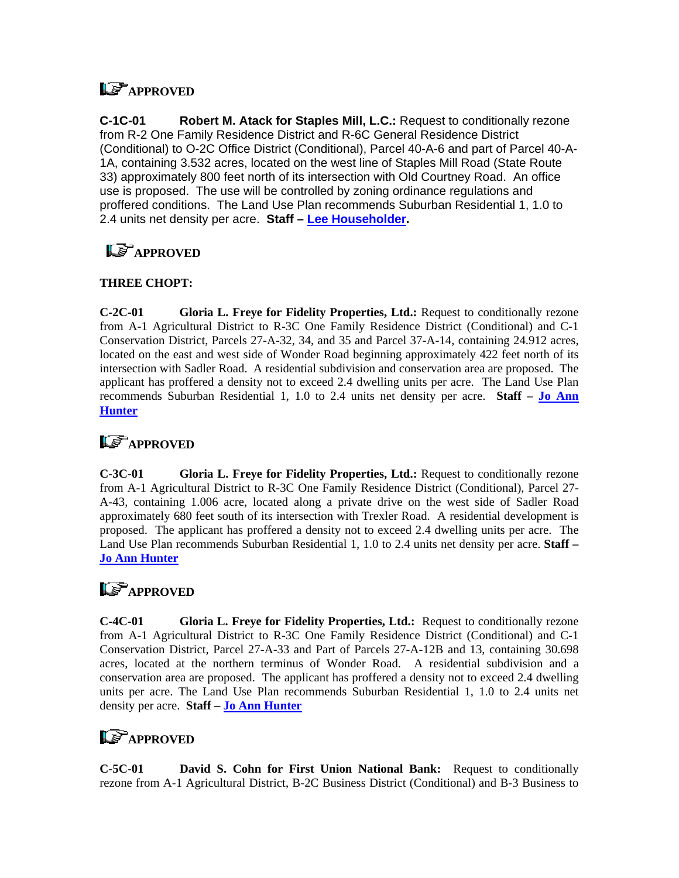## **LS** APPROVED

**C-1C-01 Robert M. Atack for Staples Mill, L.C.:** Request to conditionally rezone from R-2 One Family Residence District and R-6C General Residence District (Conditional) to O-2C Office District (Conditional), Parcel 40-A-6 and part of Parcel 40-A-1A, containing 3.532 acres, located on the west line of Staples Mill Road (State Route 33) approximately 800 feet north of its intersection with Old Courtney Road. An office use is proposed. The use will be controlled by zoning ordinance regulations and proffered conditions. The Land Use Plan recommends Suburban Residential 1, 1.0 to 2.4 units net density per acre. **Staff – [Lee Householder](mailto:hou10@co.henrico.va.us).** 

# **LE APPROVED**

### **THREE CHOPT:**

**C-2C-01 Gloria L. Freye for Fidelity Properties, Ltd.:** Request to conditionally rezone from A-1 Agricultural District to R-3C One Family Residence District (Conditional) and C-1 Conservation District, Parcels 27-A-32, 34, and 35 and Parcel 37-A-14, containing 24.912 acres, located on the east and west side of Wonder Road beginning approximately 422 feet north of its intersection with Sadler Road. A residential subdivision and conservation area are proposed. The applicant has proffered a density not to exceed 2.4 dwelling units per acre. The Land Use Plan recommends Suburban Residential 1, 1.0 to 2.4 units net density per acre. **Staff – [Jo Ann](mailto:hun30@co.henrico.va.us)  [Hunter](mailto:hun30@co.henrico.va.us)** 

### **LE** APPROVED

**C-3C-01 Gloria L. Freye for Fidelity Properties, Ltd.:** Request to conditionally rezone from A-1 Agricultural District to R-3C One Family Residence District (Conditional), Parcel 27- A-43, containing 1.006 acre, located along a private drive on the west side of Sadler Road approximately 680 feet south of its intersection with Trexler Road. A residential development is proposed. The applicant has proffered a density not to exceed 2.4 dwelling units per acre. The Land Use Plan recommends Suburban Residential 1, 1.0 to 2.4 units net density per acre. **Staff – [Jo Ann Hunter](mailto:hun30@co.henrico.va.us)** 

## **LE** APPROVED

**C-4C-01 Gloria L. Freye for Fidelity Properties, Ltd.:** Request to conditionally rezone from A-1 Agricultural District to R-3C One Family Residence District (Conditional) and C-1 Conservation District, Parcel 27-A-33 and Part of Parcels 27-A-12B and 13, containing 30.698 acres, located at the northern terminus of Wonder Road. A residential subdivision and a conservation area are proposed. The applicant has proffered a density not to exceed 2.4 dwelling units per acre. The Land Use Plan recommends Suburban Residential 1, 1.0 to 2.4 units net density per acre. **Staff – [Jo Ann Hunter](mailto:hun30@co.henrico.va.us)** 

## **LS** APPROVED

**C-5C-01 David S. Cohn for First Union National Bank:** Request to conditionally rezone from A-1 Agricultural District, B-2C Business District (Conditional) and B-3 Business to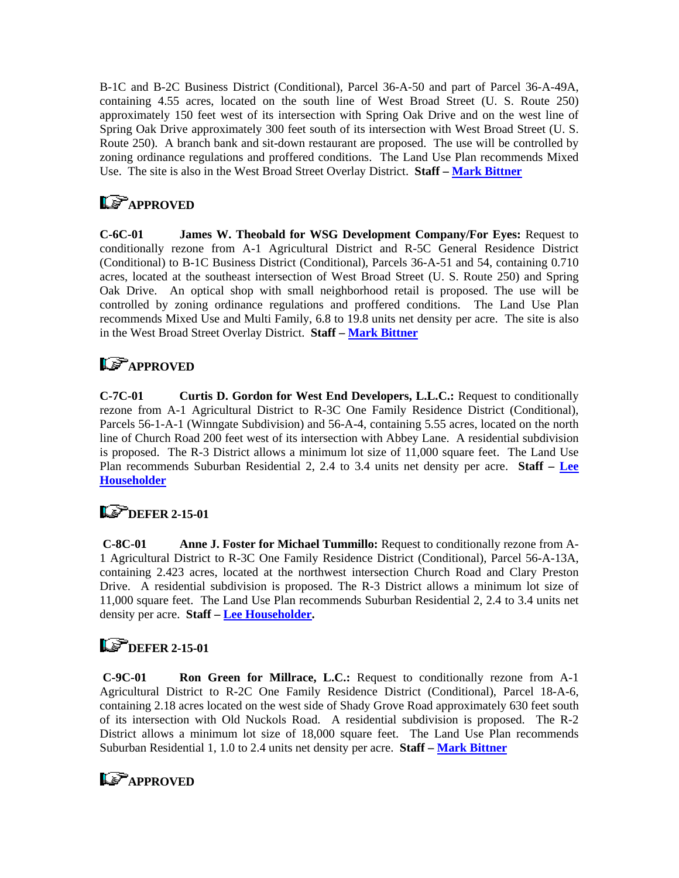B-1C and B-2C Business District (Conditional), Parcel 36-A-50 and part of Parcel 36-A-49A, containing 4.55 acres, located on the south line of West Broad Street (U. S. Route 250) approximately 150 feet west of its intersection with Spring Oak Drive and on the west line of Spring Oak Drive approximately 300 feet south of its intersection with West Broad Street (U. S. Route 250). A branch bank and sit-down restaurant are proposed. The use will be controlled by zoning ordinance regulations and proffered conditions. The Land Use Plan recommends Mixed Use. The site is also in the West Broad Street Overlay District. **Staff – [Mark Bittner](mailto:bit10@co.henrico.va.us)** 

## **LE APPROVED**

**C-6C-01 James W. Theobald for WSG Development Company/For Eyes:** Request to conditionally rezone from A-1 Agricultural District and R-5C General Residence District (Conditional) to B-1C Business District (Conditional), Parcels 36-A-51 and 54, containing 0.710 acres, located at the southeast intersection of West Broad Street (U. S. Route 250) and Spring Oak Drive. An optical shop with small neighborhood retail is proposed. The use will be controlled by zoning ordinance regulations and proffered conditions. The Land Use Plan recommends Mixed Use and Multi Family, 6.8 to 19.8 units net density per acre. The site is also in the West Broad Street Overlay District. **Staff – [Mark Bittner](mailto:bit10@co.henrico.va.us)** 

## **LS** APPROVED

**C-7C-01 Curtis D. Gordon for West End Developers, L.L.C.:** Request to conditionally rezone from A-1 Agricultural District to R-3C One Family Residence District (Conditional), Parcels 56-1-A-1 (Winngate Subdivision) and 56-A-4, containing 5.55 acres, located on the north line of Church Road 200 feet west of its intersection with Abbey Lane. A residential subdivision is proposed. The R-3 District allows a minimum lot size of 11,000 square feet. The Land Use Plan recommends Suburban Residential 2, 2.4 to 3.4 units net density per acre. **Staff – [Lee](mailto:hou10@co.henrico.va.us)  [Householder](mailto:hou10@co.henrico.va.us)**

## **LS** DEFER 2-15-01

**C-8C-01 Anne J. Foster for Michael Tummillo:** Request to conditionally rezone from A-1 Agricultural District to R-3C One Family Residence District (Conditional), Parcel 56-A-13A, containing 2.423 acres, located at the northwest intersection Church Road and Clary Preston Drive. A residential subdivision is proposed. The R-3 District allows a minimum lot size of 11,000 square feet. The Land Use Plan recommends Suburban Residential 2, 2.4 to 3.4 units net density per acre. **Staff – [Lee Householder](mailto:hou10@co.henrico.va.us).** 

## **LS** DEFER 2-15-01

 **C-9C-01 Ron Green for Millrace, L.C.:** Request to conditionally rezone from A-1 Agricultural District to R-2C One Family Residence District (Conditional), Parcel 18-A-6, containing 2.18 acres located on the west side of Shady Grove Road approximately 630 feet south of its intersection with Old Nuckols Road. A residential subdivision is proposed. The R-2 District allows a minimum lot size of 18,000 square feet. The Land Use Plan recommends Suburban Residential 1, 1.0 to 2.4 units net density per acre. **Staff – [Mark Bittner](mailto:bit10@co.henrico.va.us)**